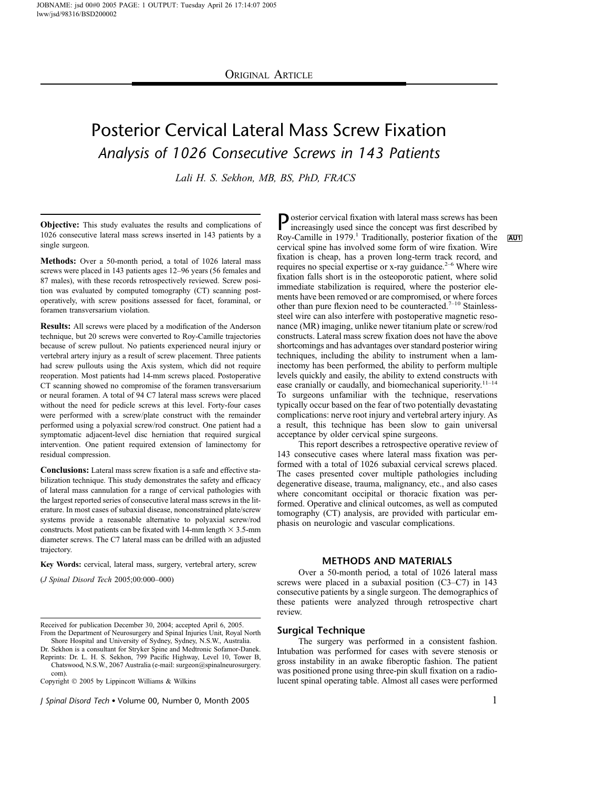# Posterior Cervical Lateral Mass Screw Fixation Analysis of 1026 Consecutive Screws in 143 Patients

Lali H. S. Sekhon, MB, BS, PhD, FRACS

Objective: This study evaluates the results and complications of 1026 consecutive lateral mass screws inserted in 143 patients by a single surgeon.

Methods: Over a 50-month period, a total of 1026 lateral mass screws were placed in 143 patients ages 12–96 years (56 females and 87 males), with these records retrospectively reviewed. Screw position was evaluated by computed tomography (CT) scanning postoperatively, with screw positions assessed for facet, foraminal, or foramen transversarium violation.

Results: All screws were placed by a modification of the Anderson technique, but 20 screws were converted to Roy-Camille trajectories because of screw pullout. No patients experienced neural injury or vertebral artery injury as a result of screw placement. Three patients had screw pullouts using the Axis system, which did not require reoperation. Most patients had 14-mm screws placed. Postoperative CT scanning showed no compromise of the foramen transversarium or neural foramen. A total of 94 C7 lateral mass screws were placed without the need for pedicle screws at this level. Forty-four cases were performed with a screw/plate construct with the remainder performed using a polyaxial screw/rod construct. One patient had a symptomatic adjacent-level disc herniation that required surgical intervention. One patient required extension of laminectomy for residual compression.

Conclusions: Lateral mass screw fixation is a safe and effective stabilization technique. This study demonstrates the safety and efficacy of lateral mass cannulation for a range of cervical pathologies with the largest reported series of consecutive lateral mass screws in the literature. In most cases of subaxial disease, nonconstrained plate/screw systems provide a reasonable alternative to polyaxial screw/rod constructs. Most patients can be fixated with 14-mm length  $\times$  3.5-mm diameter screws. The C7 lateral mass can be drilled with an adjusted trajectory.

Key Words: cervical, lateral mass, surgery, vertebral artery, screw

(J Spinal Disord Tech 2005;00:000–000)

Dr. Sekhon is a consultant for Stryker Spine and Medtronic Sofamor-Danek. Reprints: Dr. L. H. S. Sekhon, 799 Pacific Highway, Level 10, Tower B,

Copyright 2005 by Lippincott Williams & Wilkins

J Spinal Disord Tech Volume 00, Number 0, Month 2005 1

Posterior cervical fixation with lateral mass screws has been increasingly used since the concept was first described by Roy-Camille in 1979.<sup>1</sup> Traditionally, posterior fixation of the AU1 cervical spine has involved some form of wire fixation. Wire fixation is cheap, has a proven long-term track record, and requires no special expertise or x-ray guidance.<sup>2-6</sup> Where wire fixation falls short is in the osteoporotic patient, where solid immediate stabilization is required, where the posterior elements have been removed or are compromised, or where forces other than pure flexion need to be counteracted.<sup>7-10</sup> Stainlesssteel wire can also interfere with postoperative magnetic resonance (MR) imaging, unlike newer titanium plate or screw/rod constructs. Lateral mass screw fixation does not have the above shortcomings and has advantages over standard posterior wiring techniques, including the ability to instrument when a laminectomy has been performed, the ability to perform multiple levels quickly and easily, the ability to extend constructs with ease cranially or caudally, and biomechanical superiority.<sup>11-14</sup> To surgeons unfamiliar with the technique, reservations typically occur based on the fear of two potentially devastating complications: nerve root injury and vertebral artery injury. As a result, this technique has been slow to gain universal acceptance by older cervical spine surgeons.

This report describes a retrospective operative review of 143 consecutive cases where lateral mass fixation was performed with a total of 1026 subaxial cervical screws placed. The cases presented cover multiple pathologies including degenerative disease, trauma, malignancy, etc., and also cases where concomitant occipital or thoracic fixation was performed. Operative and clinical outcomes, as well as computed tomography (CT) analysis, are provided with particular emphasis on neurologic and vascular complications.

## METHODS AND MATERIALS

Over a 50-month period, a total of 1026 lateral mass screws were placed in a subaxial position (C3–C7) in 143 consecutive patients by a single surgeon. The demographics of these patients were analyzed through retrospective chart review.

# Surgical Technique

The surgery was performed in a consistent fashion. Intubation was performed for cases with severe stenosis or gross instability in an awake fiberoptic fashion. The patient was positioned prone using three-pin skull fixation on a radiolucent spinal operating table. Almost all cases were performed

Received for publication December 30, 2004; accepted April 6, 2005. From the Department of Neurosurgery and Spinal Injuries Unit, Royal North Shore Hospital and University of Sydney, Sydney, N.S.W., Australia.

Chatswood, N.S.W., 2067 Australia (e-mail: surgeon@spinalneurosurgery. com).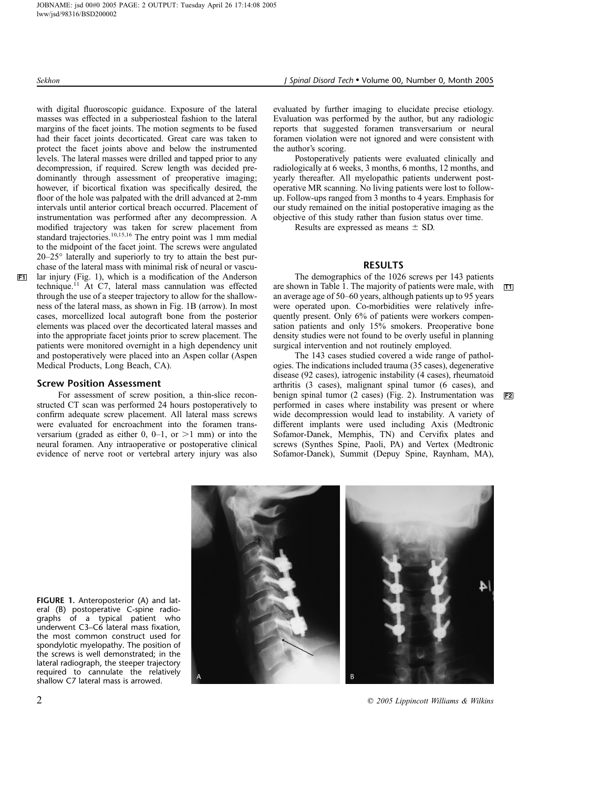with digital fluoroscopic guidance. Exposure of the lateral masses was effected in a subperiosteal fashion to the lateral margins of the facet joints. The motion segments to be fused had their facet joints decorticated. Great care was taken to protect the facet joints above and below the instrumented levels. The lateral masses were drilled and tapped prior to any decompression, if required. Screw length was decided predominantly through assessment of preoperative imaging; however, if bicortical fixation was specifically desired, the floor of the hole was palpated with the drill advanced at 2-mm intervals until anterior cortical breach occurred. Placement of instrumentation was performed after any decompression. A modified trajectory was taken for screw placement from standard trajectories.<sup>10,15,16</sup> The entry point was 1 mm medial to the midpoint of the facet joint. The screws were angulated  $20-25^\circ$  laterally and superiorly to try to attain the best purchase of the lateral mass with minimal risk of neural or vascu-F1 lar injury (Fig. 1), which is a modification of the Anderson technique. $^{11}$  At C7, lateral mass cannulation was effected through the use of a steeper trajectory to allow for the shallowness of the lateral mass, as shown in Fig. 1B (arrow). In most cases, morcellized local autograft bone from the posterior elements was placed over the decorticated lateral masses and into the appropriate facet joints prior to screw placement. The patients were monitored overnight in a high dependency unit and postoperatively were placed into an Aspen collar (Aspen Medical Products, Long Beach, CA).

# Screw Position Assessment

For assessment of screw position, a thin-slice reconstructed CT scan was performed 24 hours postoperatively to confirm adequate screw placement. All lateral mass screws were evaluated for encroachment into the foramen transversarium (graded as either 0, 0–1, or  $>1$  mm) or into the neural foramen. Any intraoperative or postoperative clinical evidence of nerve root or vertebral artery injury was also

Sekhon J Spinal Disord Tech • Volume 00, Number 0, Month 2005

evaluated by further imaging to elucidate precise etiology. Evaluation was performed by the author, but any radiologic reports that suggested foramen transversarium or neural foramen violation were not ignored and were consistent with the author's scoring.

Postoperatively patients were evaluated clinically and radiologically at 6 weeks, 3 months, 6 months, 12 months, and yearly thereafter. All myelopathic patients underwent postoperative MR scanning. No living patients were lost to followup. Follow-ups ranged from 3 months to 4 years. Emphasis for our study remained on the initial postoperative imaging as the objective of this study rather than fusion status over time.

Results are expressed as means  $\pm$  SD.

# RESULTS

The demographics of the 1026 screws per 143 patients are shown in Table 1. The majority of patients were male, with  $\boxed{11}$ an average age of 50–60 years, although patients up to 95 years were operated upon. Co-morbidities were relatively infrequently present. Only 6% of patients were workers compensation patients and only 15% smokers. Preoperative bone density studies were not found to be overly useful in planning surgical intervention and not routinely employed.

The 143 cases studied covered a wide range of pathologies. The indications included trauma (35 cases), degenerative disease (92 cases), iatrogenic instability (4 cases), rheumatoid arthritis (3 cases), malignant spinal tumor (6 cases), and benign spinal tumor (2 cases) (Fig. 2). Instrumentation was F2 performed in cases where instability was present or where wide decompression would lead to instability. A variety of different implants were used including Axis (Medtronic Sofamor-Danek, Memphis, TN) and Cervifix plates and screws (Synthes Spine, Paoli, PA) and Vertex (Medtronic Sofamor-Danek), Summit (Depuy Spine, Raynham, MA),



 $2$   $\degree$  2005 Lippincott Williams & Wilkins

FIGURE 1. Anteroposterior (A) and lateral (B) postoperative C-spine radiographs of a typical patient who underwent C3–C6 lateral mass fixation, the most common construct used for spondylotic myelopathy. The position of the screws is well demonstrated; in the lateral radiograph, the steeper trajectory required to cannulate the relatively shallow C7 lateral mass is arrowed.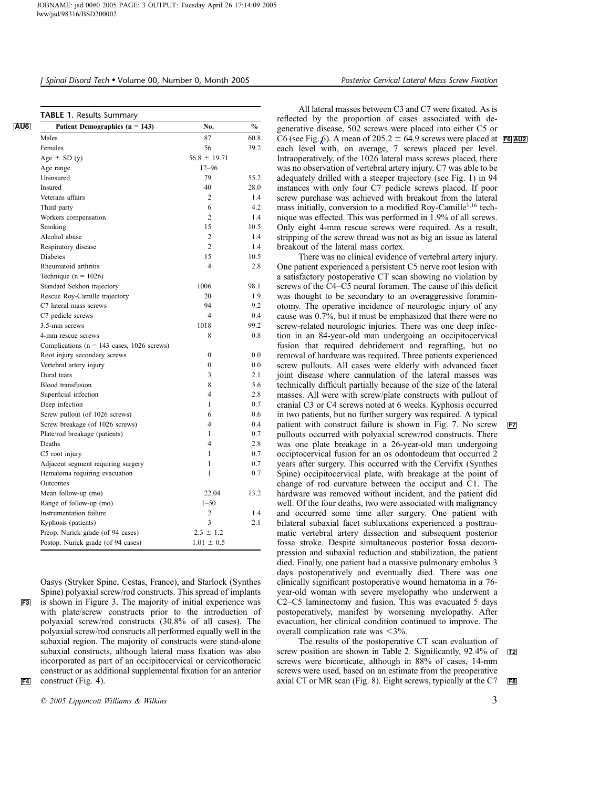# J Spinal Disord Tech Volume 00, Number 0, Month 2005 Posterior Cervical Lateral Mass Screw Fixation

| Patient Demographics $(n = 143)$              | No.                      | $\frac{0}{0}$ |
|-----------------------------------------------|--------------------------|---------------|
| Males                                         | 87                       | 60.8          |
| Females                                       | 56                       | 39.2          |
| Age $\pm$ SD (y)                              | $56.8 \pm 19.71$         |               |
| Age range                                     | $12 - 96$                |               |
| Uninsured                                     | 79                       | 55.2          |
| Insured                                       | 40                       | 28.0          |
| Veterans affairs                              | 2                        | 1.4           |
| Third party                                   | 6                        | 4.2           |
| Workers compensation                          | $\overline{c}$           | 1.4           |
| Smoking                                       | 15                       | 10.5          |
| Alcohol abuse                                 | $\overline{c}$           | 1.4           |
| Respiratory disease                           | $\overline{2}$           | 1.4           |
| <b>Diabetes</b>                               | 15                       | 10.5          |
| Rheumatoid arthritis                          | 4                        | 2.8           |
| Technique ( $n = 1026$ )                      |                          |               |
| Standard Sekhon trajectory                    | 1006                     | 98.1          |
| Rescue Roy-Camille trajectory                 | 20                       | 1.9           |
| C7 lateral mass screws                        | 94                       | 9.2           |
| C7 pedicle screws                             | $\overline{\mathcal{L}}$ | 0.4           |
| 3.5-mm screws                                 | 1018                     | 99.2          |
| 4-mm rescue screws                            | 8                        | 0.8           |
| Complications ( $n = 143$ cases, 1026 screws) |                          |               |
| Root injury secondary screws                  | $\boldsymbol{0}$         | 0.0           |
| Vertebral artery injury                       | $\theta$                 | 0.0           |
| Dural tears                                   | 3                        | 2.1           |
| Blood transfusion                             | 8                        | 5.6           |
| Superficial infection                         | $\overline{\mathcal{L}}$ | 2.8           |
| Deep infection                                | 1                        | 0.7           |
| Screw pullout (of 1026 screws)                | 6                        | 0.6           |
| Screw breakage (of 1026 screws)               | 4                        | 0.4           |
| Plate/rod breakage (patients)                 | 1                        | 0.7           |
| Deaths                                        | 4                        | 2.8           |
| C5 root injury                                | 1                        | 0.7           |
| Adjacent segment requiring surgery            | 1                        | 0.7           |
| Hematoma requiring evacuation                 | 1                        | 0.7           |
| Outcomes                                      |                          |               |
| Mean follow-up (mo)                           | 22.04                    | 13.2          |
| Range of follow-up (mo)                       | $1 - 50$                 |               |
| Instrumentation failure                       | $\overline{c}$           | 1.4           |
| Kyphosis (patients)                           | 3                        | 2.1           |
| Preop. Nurick grade (of 94 cases)             | $2.3 \pm 1.2$            |               |
| Postop. Nurick grade (of 94 cases)            | $1.01 \pm 0.5$           |               |

Oasys (Stryker Spine, Cestas, France), and Starlock (Synthes Spine) polyaxial screw/rod constructs. This spread of implants F3 is shown in Figure 3. The majority of initial experience was with plate/screw constructs prior to the introduction of polyaxial screw/rod constructs (30.8% of all cases). The polyaxial screw/rod consructs all performed equally well in the subaxial region. The majority of constructs were stand-alone subaxial constructs, although lateral mass fixation was also incorporated as part of an occipitocervical or cervicothoracic construct or as additional supplemental fixation for an anterior F4 construct (Fig. 4).

 $\degree$  2005 Lippincott Williams & Wilkins  $\degree$  3

All lateral masses between C3 and C7 were fixated. As is reflected by the proportion of cases associated with degenerative disease, 502 screws were placed into either C5 or C6 (see Fig. 6). A mean of 205.2  $\pm$  64.9 screws were placed at F6 AU2 each level with, on average, 7 screws placed per level. Intraoperatively, of the 1026 lateral mass screws placed, there was no observation of vertebral artery injury. C7 was able to be adequately drilled with a steeper trajectory (see Fig. 1) in 94 instances with only four C7 pedicle screws placed. If poor screw purchase was achieved with breakout from the lateral mass initially, conversion to a modified Roy-Camille<sup>1,16</sup> technique was effected. This was performed in 1.9% of all screws. Only eight 4-mm rescue screws were required. As a result, stripping of the screw thread was not as big an issue as lateral breakout of the lateral mass cortex.

There was no clinical evidence of vertebral artery injury. One patient experienced a persistent C5 nerve root lesion with a satisfactory postoperative CT scan showing no violation by screws of the C4–C5 neural foramen. The cause of this deficit was thought to be secondary to an overaggressive foraminotomy. The operative incidence of neurologic injury of any cause was 0.7%, but it must be emphasized that there were no screw-related neurologic injuries. There was one deep infection in an 84-year-old man undergoing an occipitocervical fusion that required debridement and regrafting, but no removal of hardware was required. Three patients experienced screw pullouts. All cases were elderly with advanced facet joint disease where cannulation of the lateral masses was technically difficult partially because of the size of the lateral masses. All were with screw/plate constructs with pullout of cranial C3 or C4 screws noted at 6 weeks. Kyphosis occurred in two patients, but no further surgery was required. A typical patient with construct failure is shown in Fig. 7. No screw F7 pullouts occurred with polyaxial screw/rod constructs. There was one plate breakage in a 26-year-old man undergoing occiptocervical fusion for an os odontodeum that occurred 2 years after surgery. This occurred with the Cervifix (Synthes Spine) occipitocervical plate, with breakage at the point of change of rod curvature between the occiput and C1. The hardware was removed without incident, and the patient did well. Of the four deaths, two were associated with malignancy and occurred some time after surgery. One patient with bilateral subaxial facet subluxations experienced a posttraumatic vertebral artery dissection and subsequent posterior fossa stroke. Despite simultaneous posterior fossa decompression and subaxial reduction and stabilization, the patient died. Finally, one patient had a massive pulmonary embolus 3 days postoperatively and eventually died. There was one clinically significant postoperative wound hematoma in a 76 year-old woman with severe myelopathy who underwent a C2–C5 laminectomy and fusion. This was evacuated 5 days postoperatively, manifest by worsening myelopathy. After evacuation, her clinical condition continued to improve. The overall complication rate was  $\langle 3\% \rangle$ .

The results of the postoperative CT scan evaluation of screw position are shown in Table 2. Significantly,  $92.4\%$  of  $\boxed{72}$ screws were bicorticate, although in 88% of cases, 14-mm screws were used, based on an estimate from the preoperative axial CT or MR scan (Fig. 8). Eight screws, typically at the  $C7$  F8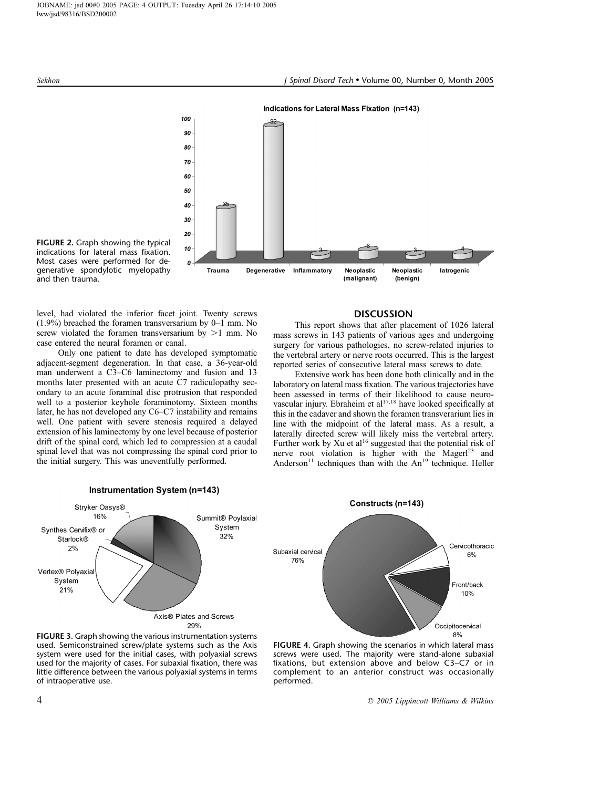

FIGURE 2. Graph showing the typical indications for lateral mass fixation. Most cases were performed for degenerative spondylotic myelopathy and then trauma.

level, had violated the inferior facet joint. Twenty screws (1.9%) breached the foramen transversarium by 0–1 mm. No screw violated the foramen transversarium by  $>1$  mm. No case entered the neural foramen or canal.

Only one patient to date has developed symptomatic adjacent-segment degeneration. In that case, a 36-year-old man underwent a C3–C6 laminectomy and fusion and 13 months later presented with an acute C7 radiculopathy secondary to an acute foraminal disc protrusion that responded well to a posterior keyhole foraminotomy. Sixteen months later, he has not developed any C6–C7 instability and remains well. One patient with severe stenosis required a delayed extension of his laminectomy by one level because of posterior drift of the spinal cord, which led to compression at a caudal spinal level that was not compressing the spinal cord prior to the initial surgery. This was uneventfully performed.



### FIGURE 3. Graph showing the various instrumentation systems used. Semiconstrained screw/plate systems such as the Axis system were used for the initial cases, with polyaxial screws used for the majority of cases. For subaxial fixation, there was little difference between the various polyaxial systems in terms of intraoperative use.

# DISCUSSION

This report shows that after placement of 1026 lateral mass screws in 143 patients of various ages and undergoing surgery for various pathologies, no screw-related injuries to the vertebral artery or nerve roots occurred. This is the largest reported series of consecutive lateral mass screws to date.

Extensive work has been done both clinically and in the laboratory on lateral mass fixation. The various trajectories have been assessed in terms of their likelihood to cause neurovascular injury. Ebraheim et al<sup>17,18</sup> have looked specifically at this in the cadaver and shown the foramen transverarium lies in line with the midpoint of the lateral mass. As a result, a laterally directed screw will likely miss the vertebral artery. Further work by Xu et al<sup>16</sup> suggested that the potential risk of nerve root violation is higher with the Magerl<sup>23</sup> and Anderson<sup>11</sup> techniques than with the  $An^{19}$  technique. Heller



FIGURE 4. Graph showing the scenarios in which lateral mass screws were used. The majority were stand-alone subaxial fixations, but extension above and below C3–C7 or in complement to an anterior construct was occasionally performed.

4 C 2005 Lippincott Williams & Wilkins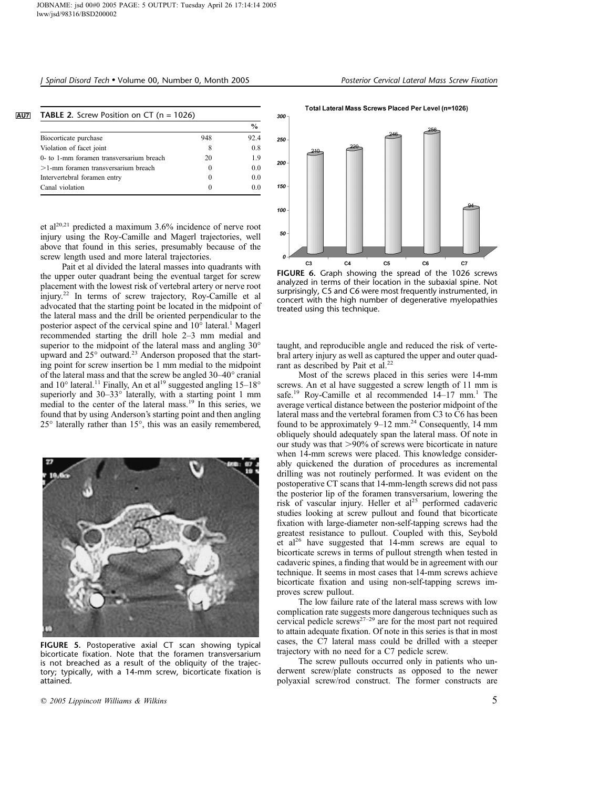# J Spinal Disord Tech • Volume 00, Number 0, Month 2005 Posterior Cervical Lateral Mass Screw Fixation

|                                          |     | $\frac{0}{0}$ |
|------------------------------------------|-----|---------------|
| Biocorticate purchase                    | 948 | 92.4          |
| Violation of facet joint                 | 8   | 0.8           |
| 0- to 1-mm foramen transversarium breach | 20  | 19            |
| $>1$ -mm foramen transversarium breach   |     | 0.0           |
| Intervertebral foramen entry             |     | 0.0           |
| Canal violation                          |     |               |

et al<sup>20,21</sup> predicted a maximum 3.6% incidence of nerve root injury using the Roy-Camille and Magerl trajectories, well above that found in this series, presumably because of the screw length used and more lateral trajectories.

Pait et al divided the lateral masses into quadrants with the upper outer quadrant being the eventual target for screw placement with the lowest risk of vertebral artery or nerve root injury.<sup>22</sup> In terms of screw trajectory, Roy-Camille et al advocated that the starting point be located in the midpoint of the lateral mass and the drill be oriented perpendicular to the posterior aspect of the cervical spine and  $10^{\circ}$  lateral.<sup>1</sup> Magerl recommended starting the drill hole 2–3 mm medial and superior to the midpoint of the lateral mass and angling  $30^{\circ}$ upward and 25° outward.<sup>23</sup> Anderson proposed that the starting point for screw insertion be 1 mm medial to the midpoint of the lateral mass and that the screw be angled 30–40° cranial and  $10^{\circ}$  lateral.<sup>11</sup> Finally, An et al<sup>19</sup> suggested angling  $15-18^{\circ}$ superiorly and  $30-33^\circ$  laterally, with a starting point 1 mm medial to the center of the lateral mass.<sup>19</sup> In this series, we found that by using Anderson's starting point and then angling  $25^{\circ}$  laterally rather than 15 $^{\circ}$ , this was an easily remembered,



FIGURE 5. Postoperative axial CT scan showing typical bicorticate fixation. Note that the foramen transversarium is not breached as a result of the obliquity of the trajectory; typically, with a 14-mm screw, bicorticate fixation is attained.

 $\degree$  2005 Lippincott Williams & Wilkins  $\degree$  5



Total Lateral Mass Screws Placed Per Level (n=1026)

FIGURE 6. Graph showing the spread of the 1026 screws analyzed in terms of their location in the subaxial spine. Not surprisingly, C5 and C6 were most frequently instrumented, in concert with the high number of degenerative myelopathies treated using this technique.

taught, and reproducible angle and reduced the risk of vertebral artery injury as well as captured the upper and outer quadrant as described by Pait et al.<sup>22</sup>

Most of the screws placed in this series were 14-mm screws. An et al have suggested a screw length of 11 mm is safe.<sup>19</sup> Roy-Camille et al recommended  $14-17$  mm.<sup>1</sup> The average vertical distance between the posterior midpoint of the lateral mass and the vertebral foramen from C3 to C6 has been found to be approximately 9–12 mm.<sup>24</sup> Consequently, 14 mm obliquely should adequately span the lateral mass. Of note in our study was that  $>90\%$  of screws were bicorticate in nature when 14-mm screws were placed. This knowledge considerably quickened the duration of procedures as incremental drilling was not routinely performed. It was evident on the postoperative CT scans that 14-mm-length screws did not pass the posterior lip of the foramen transversarium, lowering the risk of vascular injury. Heller et  $al<sup>25</sup>$  performed cadaveric studies looking at screw pullout and found that bicorticate fixation with large-diameter non-self-tapping screws had the greatest resistance to pullout. Coupled with this, Seybold et al<sup>26</sup> have suggested that 14-mm screws are equal to bicorticate screws in terms of pullout strength when tested in cadaveric spines, a finding that would be in agreement with our technique. It seems in most cases that 14-mm screws achieve bicorticate fixation and using non-self-tapping screws improves screw pullout.

The low failure rate of the lateral mass screws with low complication rate suggests more dangerous techniques such as cervical pedicle screws<sup>27–29</sup> are for the most part not required to attain adequate fixation. Of note in this series is that in most cases, the C7 lateral mass could be drilled with a steeper trajectory with no need for a C7 pedicle screw.

The screw pullouts occurred only in patients who underwent screw/plate constructs as opposed to the newer polyaxial screw/rod construct. The former constructs are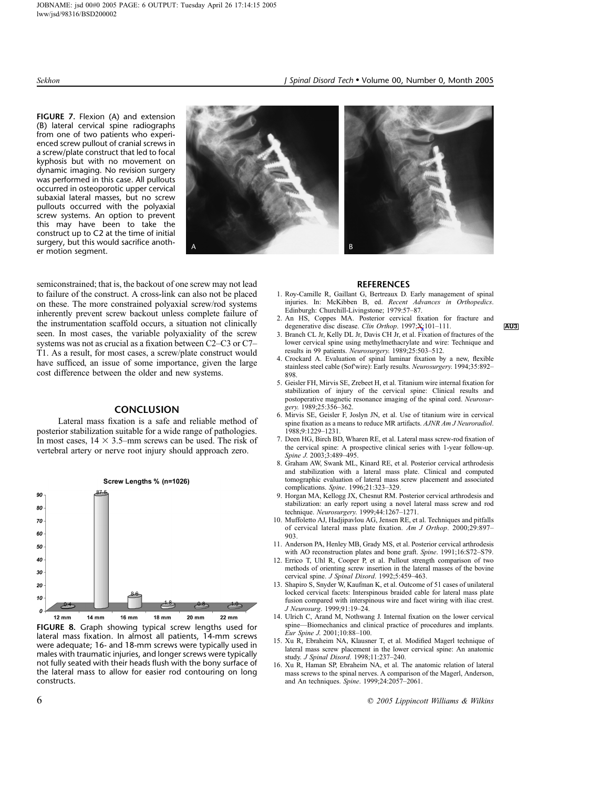FIGURE 7. Flexion (A) and extension (B) lateral cervical spine radiographs from one of two patients who experienced screw pullout of cranial screws in a screw/plate construct that led to focal kyphosis but with no movement on dynamic imaging. No revision surgery was performed in this case. All pullouts occurred in osteoporotic upper cervical subaxial lateral masses, but no screw pullouts occurred with the polyaxial screw systems. An option to prevent this may have been to take the construct up to C2 at the time of initial surgery, but this would sacrifice another motion segment.



semiconstrained; that is, the backout of one screw may not lead to failure of the construct. A cross-link can also not be placed on these. The more constrained polyaxial screw/rod systems inherently prevent screw backout unless complete failure of the instrumentation scaffold occurs, a situation not clinically seen. In most cases, the variable polyaxiality of the screw systems was not as crucial as a fixation between C2–C3 or C7– T1. As a result, for most cases, a screw/plate construct would have sufficed, an issue of some importance, given the large cost difference between the older and new systems.

# **CONCLUSION**

Lateral mass fixation is a safe and reliable method of posterior stabilization suitable for a wide range of pathologies. In most cases,  $14 \times 3.5$ –mm screws can be used. The risk of vertebral artery or nerve root injury should approach zero.



FIGURE 8. Graph showing typical screw lengths used for lateral mass fixation. In almost all patients, 14-mm screws were adequate; 16- and 18-mm screws were typically used in males with traumatic injuries, and longer screws were typically not fully seated with their heads flush with the bony surface of the lateral mass to allow for easier rod contouring on long constructs.



### **REFERENCES**

- 1. Roy-Camille R, Gaillant G, Bertreaux D. Early management of spinal injuries. In: McKibben B, ed. Recent Advances in Orthopedics. Edinburgh: Churchill-Livingstone; 1979:57–87.
- 2. An HS, Coppes MA. Posterior cervical fixation for fracture and degenerative disc disease. *Clin Orthop.* 1997; $X:101-111$ .
- 3. Branch CL Jr, Kelly DL Jr, Davis CH Jr, et al. Fixation of fractures of the lower cervical spine using methylmethacrylate and wire: Technique and results in 99 patients. Neurosurgery. 1989;25:503–512.
- 4. Crockard A. Evaluation of spinal laminar fixation by a new, flexible stainless steel cable (Sofwire): Early results. Neurosurgery. 1994;35:892– 898.
- 5. Geisler FH, Mirvis SE, Zrebeet H, et al. Titanium wire internal fixation for stabilization of injury of the cervical spine: Clinical results and postoperative magnetic resonance imaging of the spinal cord. Neurosurgery. 1989;25:356–362.
- 6. Mirvis SE, Geisler F, Joslyn JN, et al. Use of titanium wire in cervical spine fixation as a means to reduce MR artifacts. AJNR Am J Neuroradiol. 1988;9:1229–1231.
- 7. Deen HG, Birch BD, Wharen RE, et al. Lateral mass screw-rod fixation of the cervical spine: A prospective clinical series with 1-year follow-up. Spine J. 2003;3:489–495.
- 8. Graham AW, Swank ML, Kinard RE, et al. Posterior cervical arthrodesis and stabilization with a lateral mass plate. Clinical and computed tomographic evaluation of lateral mass screw placement and associated complications. Spine. 1996;21:323–329.
- 9. Horgan MA, Kellogg JX, Chesnut RM. Posterior cervical arthrodesis and stabilization: an early report using a novel lateral mass screw and rod technique. Neurosurgery. 1999;44:1267–1271.
- 10. Muffoletto AJ, Hadjipavlou AG, Jensen RE, et al. Techniques and pitfalls of cervical lateral mass plate fixation. Am J Orthop. 2000;29:897– 903.
- 11. Anderson PA, Henley MB, Grady MS, et al. Posterior cervical arthrodesis with AO reconstruction plates and bone graft. Spine. 1991;16:S72–S79.
- 12. Errico T, Uhl R, Cooper P, et al. Pullout strength comparison of two methods of orienting screw insertion in the lateral masses of the bovine cervical spine. J Spinal Disord. 1992;5:459–463.
- 13. Shapiro S, Snyder W, Kaufman K, et al. Outcome of 51 cases of unilateral locked cervical facets: Interspinous braided cable for lateral mass plate fusion compared with interspinous wire and facet wiring with iliac crest. J Neurosurg. 1999;91:19–24.
- 14. Ulrich C, Arand M, Nothwang J. Internal fixation on the lower cervical spine—Biomechanics and clinical practice of procedures and implants. Eur Spine J. 2001;10:88–100.
- 15. Xu R, Ebraheim NA, Klausner T, et al. Modified Magerl technique of lateral mass screw placement in the lower cervical spine: An anatomic study. J Spinal Disord. 1998;11:237–240.
- 16. Xu R, Haman SP, Ebraheim NA, et al. The anatomic relation of lateral mass screws to the spinal nerves. A comparison of the Magerl, Anderson, and An techniques. Spine. 1999;24:2057–2061.

 $\degree$  6  $\degree$  2005 Lippincott Williams & Wilkins